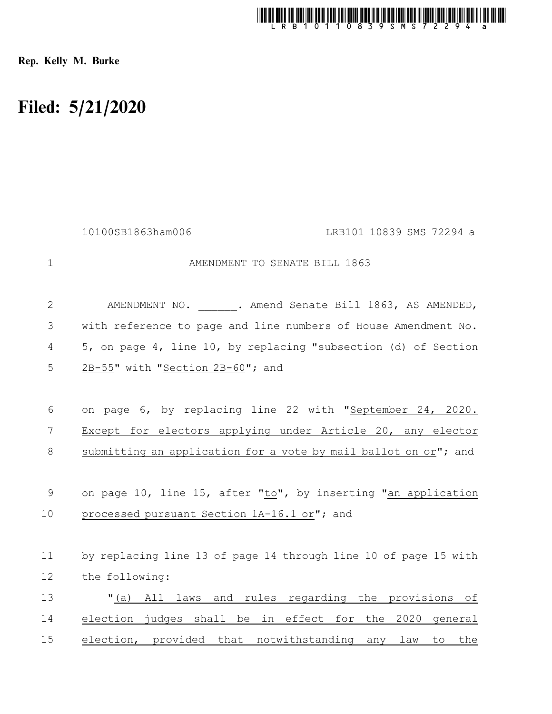

Rep. Kelly M. Burke

## Filed: 5/21/2020

|             | 10100SB1863ham006<br>LRB101 10839 SMS 72294 a                   |
|-------------|-----------------------------------------------------------------|
| $\mathbf 1$ | AMENDMENT TO SENATE BILL 1863                                   |
| 2           | AMENDMENT NO. . Amend Senate Bill 1863, AS AMENDED,             |
| 3           | with reference to page and line numbers of House Amendment No.  |
| 4           | 5, on page 4, line 10, by replacing "subsection (d) of Section  |
| 5           | 2B-55" with "Section 2B-60"; and                                |
|             |                                                                 |
| 6           | on page 6, by replacing line 22 with "September 24, 2020.       |
| 7           | Except for electors applying under Article 20, any elector      |
| 8           | submitting an application for a vote by mail ballot on or"; and |
|             |                                                                 |
| $\mathsf 9$ | on page 10, line 15, after "to", by inserting "an application   |
| 10          | processed pursuant Section 1A-16.1 or"; and                     |
|             |                                                                 |
| 11          | by replacing line 13 of page 14 through line 10 of page 15 with |
| 12          | the following:                                                  |
| 13          | "(a) All laws and rules regarding the provisions of             |
| 14          | election judges shall be in effect for the 2020 general         |
| 15          | election, provided that notwithstanding any law<br>to<br>the    |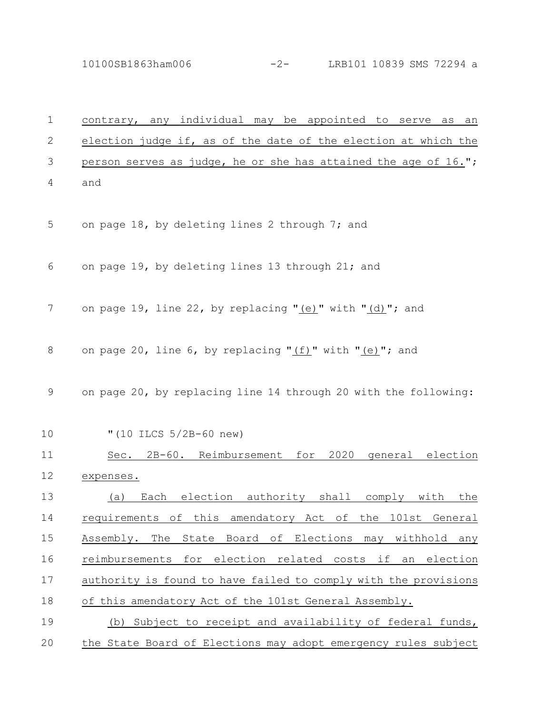10100SB1863ham006 -2- LRB101 10839 SMS 72294 a

| 1            | contrary, any individual may be appointed to serve as an        |
|--------------|-----------------------------------------------------------------|
| $\mathbf{2}$ | election judge if, as of the date of the election at which the  |
| 3            | person serves as judge, he or she has attained the age of 16."; |
| 4            | and                                                             |
| 5            | on page 18, by deleting lines 2 through 7; and                  |
| 6            | on page 19, by deleting lines 13 through 21; and                |
| 7            | on page 19, line 22, by replacing "(e)" with "(d)"; and         |
| 8            | on page 20, line 6, by replacing "(f)" with "(e)"; and          |
| 9            | on page 20, by replacing line 14 through 20 with the following: |
| 10           | " $(10$ ILCS $5/2B-60$ new)                                     |
| 11           | Sec. 2B-60. Reimbursement for 2020 general election             |
| 12           | expenses.                                                       |
| 13           | (a) Each election authority shall comply with the               |
| 14           | requirements of this amendatory Act of the 101st General        |
| 15           | Assembly. The State Board of Elections may withhold any         |
| 16           | reimbursements for election related costs if an election        |
| 17           | authority is found to have failed to comply with the provisions |
| 18           | of this amendatory Act of the 101st General Assembly.           |
| 19           | (b) Subject to receipt and availability of federal funds,       |
| 20           | the State Board of Elections may adopt emergency rules subject  |